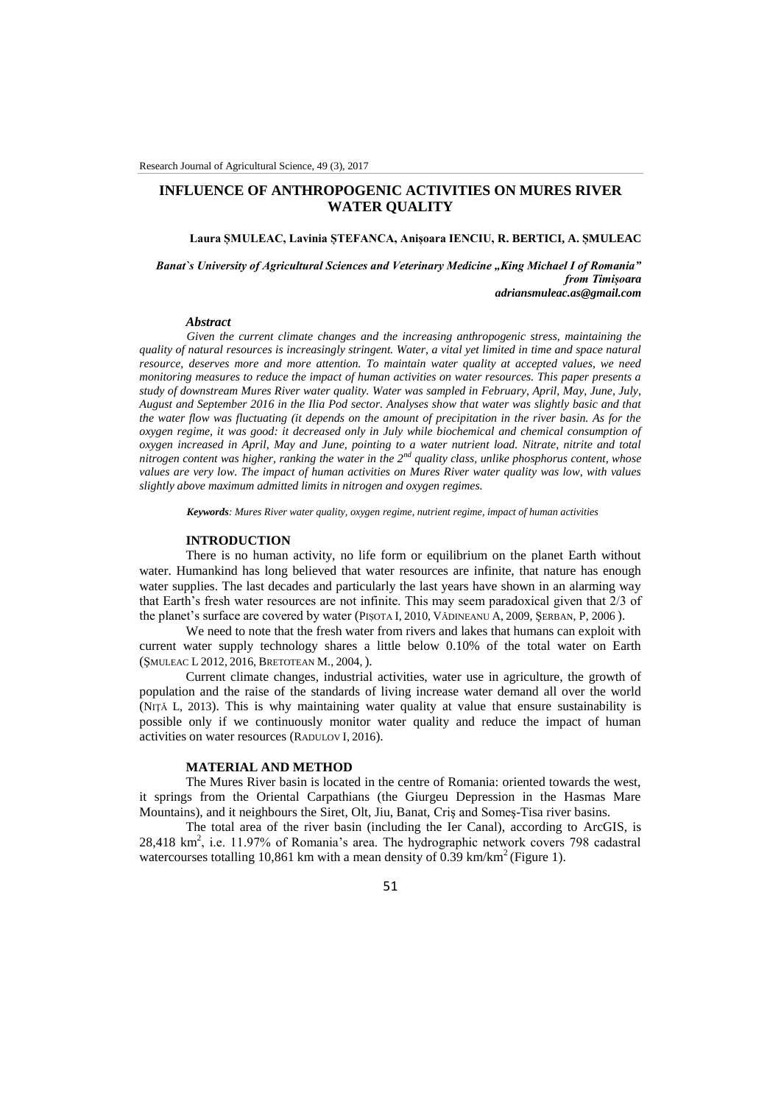# **INFLUENCE OF ANTHROPOGENIC ACTIVITIES ON MURES RIVER WATER QUALITY**

#### **Laura ȘMULEAC, Lavinia ȘTEFANCA, Anișoara IENCIU, R. BERTICI, A. ȘMULEAC**

*Banat`s University of Agricultural Sciences and Veterinary Medicine "King Michael I of Romania" from Timișoara adriansmuleac.as@gmail.com*

## *Abstract*

*Given the current climate changes and the increasing anthropogenic stress, maintaining the quality of natural resources is increasingly stringent. Water, a vital yet limited in time and space natural resource, deserves more and more attention. To maintain water quality at accepted values, we need monitoring measures to reduce the impact of human activities on water resources. This paper presents a study of downstream Mures River water quality. Water was sampled in February, April, May, June, July, August and September 2016 in the Ilia Pod sector. Analyses show that water was slightly basic and that the water flow was fluctuating (it depends on the amount of precipitation in the river basin. As for the oxygen regime, it was good: it decreased only in July while biochemical and chemical consumption of oxygen increased in April, May and June, pointing to a water nutrient load. Nitrate, nitrite and total nitrogen content was higher, ranking the water in the 2nd quality class, unlike phosphorus content, whose values are very low. The impact of human activities on Mures River water quality was low, with values slightly above maximum admitted limits in nitrogen and oxygen regimes.*

*Keywords: Mures River water quality, oxygen regime, nutrient regime, impact of human activities*

#### **INTRODUCTION**

There is no human activity, no life form or equilibrium on the planet Earth without water. Humankind has long believed that water resources are infinite, that nature has enough water supplies. The last decades and particularly the last years have shown in an alarming way that Earth's fresh water resources are not infinite. This may seem paradoxical given that 2/3 of the planet's surface are covered by water (PIȘOTA I, 2010, VĂDINEANU A, 2009, ȘERBAN, P, 2006).

We need to note that the fresh water from rivers and lakes that humans can exploit with current water supply technology shares a little below 0.10% of the total water on Earth (ŞMULEAC L 2012, 2016, BRETOTEAN M., 2004, ).

Current climate changes, industrial activities, water use in agriculture, the growth of population and the raise of the standards of living increase water demand all over the world (NIŢĂ L, 2013). This is why maintaining water quality at value that ensure sustainability is possible only if we continuously monitor water quality and reduce the impact of human activities on water resources (RADULOV I, 2016).

#### **MATERIAL AND METHOD**

The Mures River basin is located in the centre of Romania: oriented towards the west, it springs from the Oriental Carpathians (the Giurgeu Depression in the Hasmas Mare Mountains), and it neighbours the Siret, Olt, Jiu, Banat, Criş and Someş-Tisa river basins.

The total area of the river basin (including the Ier Canal), according to ArcGIS, is 28,418 km<sup>2</sup>, i.e. 11.97% of Romania's area. The hydrographic network covers 798 cadastral watercourses totalling 10,861 km with a mean density of  $0.39 \text{ km/km}^2$  (Figure 1).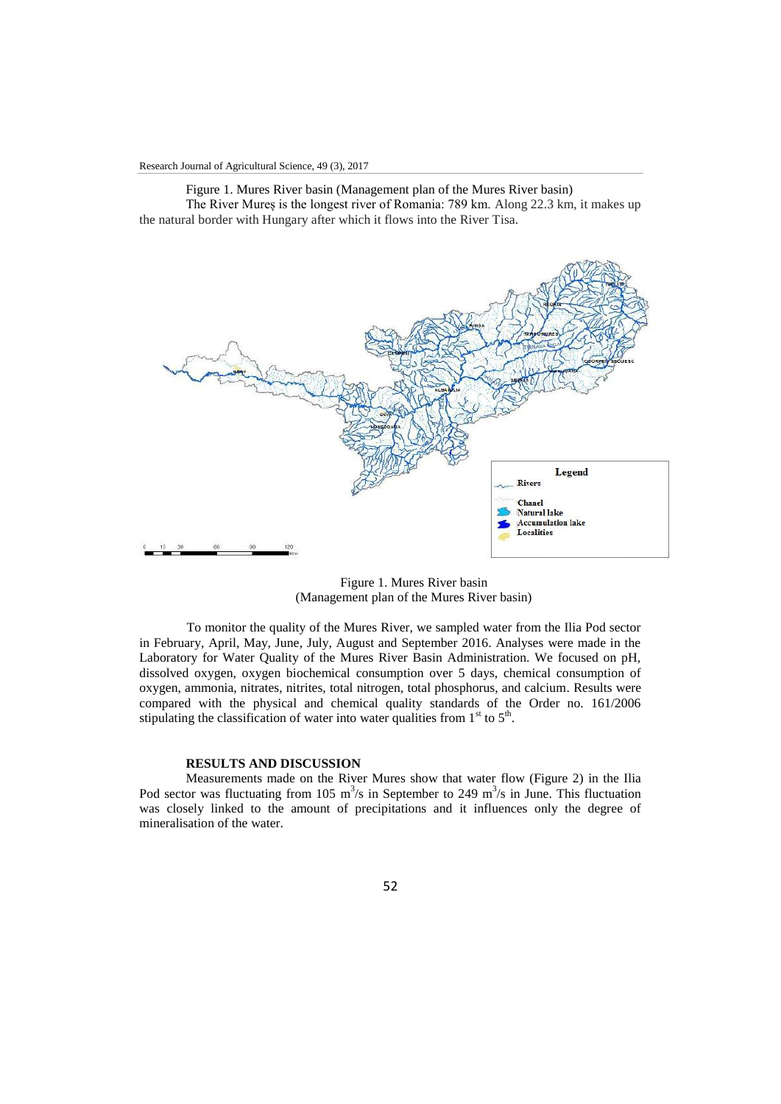Figure 1. Mures River basin (Management plan of the Mures River basin) The River Mureș is the longest river of Romania: 789 km. Along 22.3 km, it makes up the natural border with Hungary after which it flows into the River Tisa.



Figure 1. Mures River basin (Management plan of the Mures River basin)

To monitor the quality of the Mures River, we sampled water from the Ilia Pod sector in February, April, May, June, July, August and September 2016. Analyses were made in the Laboratory for Water Quality of the Mures River Basin Administration. We focused on pH, dissolved oxygen, oxygen biochemical consumption over 5 days, chemical consumption of oxygen, ammonia, nitrates, nitrites, total nitrogen, total phosphorus, and calcium. Results were compared with the physical and chemical quality standards of the Order no. 161/2006 stipulating the classification of water into water qualities from  $1<sup>st</sup>$  to  $5<sup>th</sup>$ .

### **RESULTS AND DISCUSSION**

Measurements made on the River Mures show that water flow (Figure 2) in the Ilia Pod sector was fluctuating from 105 m<sup>3</sup>/s in September to 249 m<sup>3</sup>/s in June. This fluctuation was closely linked to the amount of precipitations and it influences only the degree of mineralisation of the water.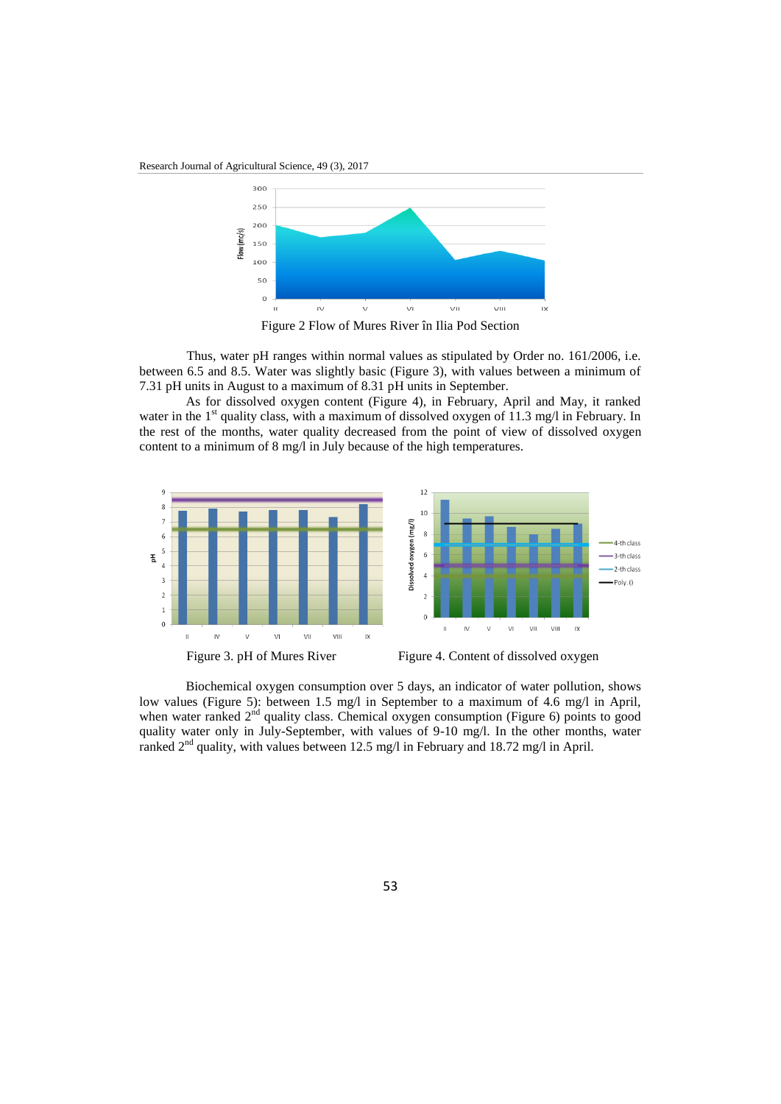

Figure 2 Flow of Mures River în Ilia Pod Section

Thus, water pH ranges within normal values as stipulated by Order no. 161/2006, i.e. between 6.5 and 8.5. Water was slightly basic (Figure 3), with values between a minimum of 7.31 pH units in August to a maximum of 8.31 pH units in September.

As for dissolved oxygen content (Figure 4), in February, April and May, it ranked water in the  $1<sup>st</sup>$  quality class, with a maximum of dissolved oxygen of 11.3 mg/l in February. In the rest of the months, water quality decreased from the point of view of dissolved oxygen content to a minimum of 8 mg/l in July because of the high temperatures.



Biochemical oxygen consumption over 5 days, an indicator of water pollution, shows low values (Figure 5): between 1.5 mg/l in September to a maximum of 4.6 mg/l in April, when water ranked  $2^{nd}$  quality class. Chemical oxygen consumption (Figure 6) points to good quality water only in July-September, with values of 9-10 mg/l. In the other months, water ranked  $2<sup>nd</sup>$  quality, with values between 12.5 mg/l in February and 18.72 mg/l in April.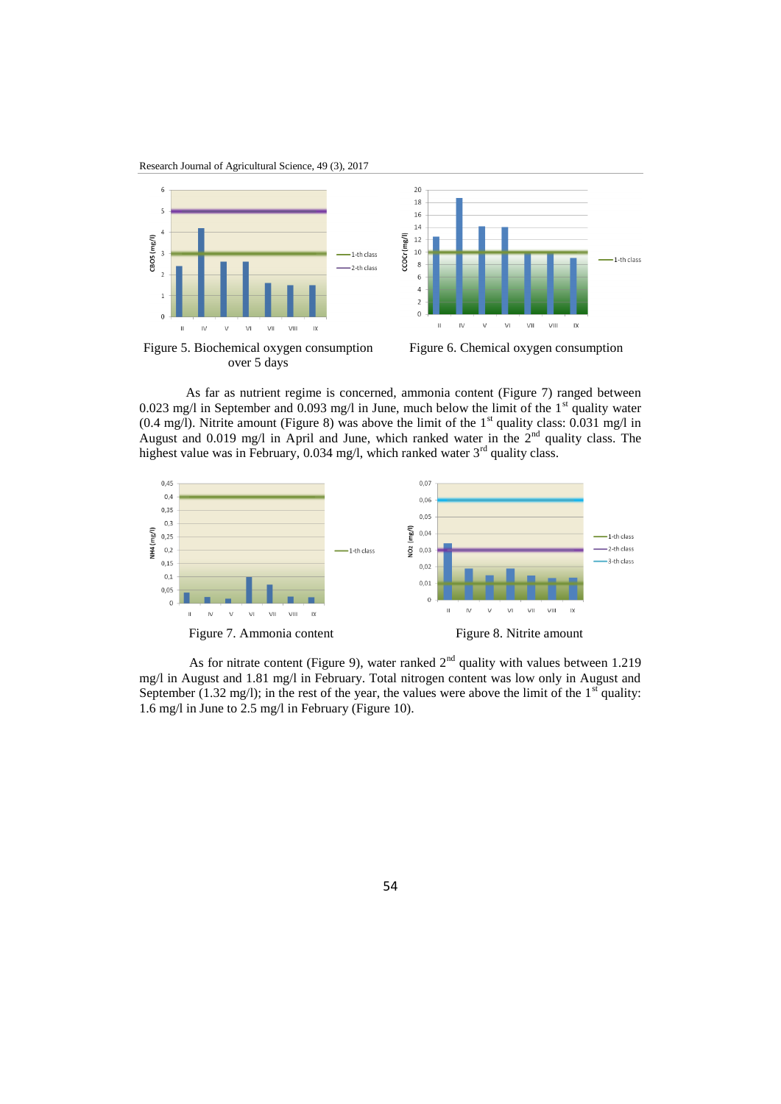Research Journal of Agricultural Science, 49 (3), 2017



Figure 5. Biochemical oxygen consumption over 5 days

Figure 6. Chemical oxygen consumption

As far as nutrient regime is concerned, ammonia content (Figure 7) ranged between 0.023 mg/l in September and 0.093 mg/l in June, much below the limit of the  $1<sup>st</sup>$  quality water (0.4 mg/l). Nitrite amount (Figure 8) was above the limit of the  $1<sup>st</sup>$  quality class: 0.031 mg/l in August and 0.019 mg/l in April and June, which ranked water in the  $2<sup>nd</sup>$  quality class. The highest value was in February, 0.034 mg/l, which ranked water  $3<sup>rd</sup>$  quality class.



As for nitrate content (Figure 9), water ranked  $2<sup>nd</sup>$  quality with values between 1.219 mg/l in August and 1.81 mg/l in February. Total nitrogen content was low only in August and September (1.32 mg/l); in the rest of the year, the values were above the limit of the  $1<sup>st</sup>$  quality: 1.6 mg/l in June to 2.5 mg/l in February (Figure 10).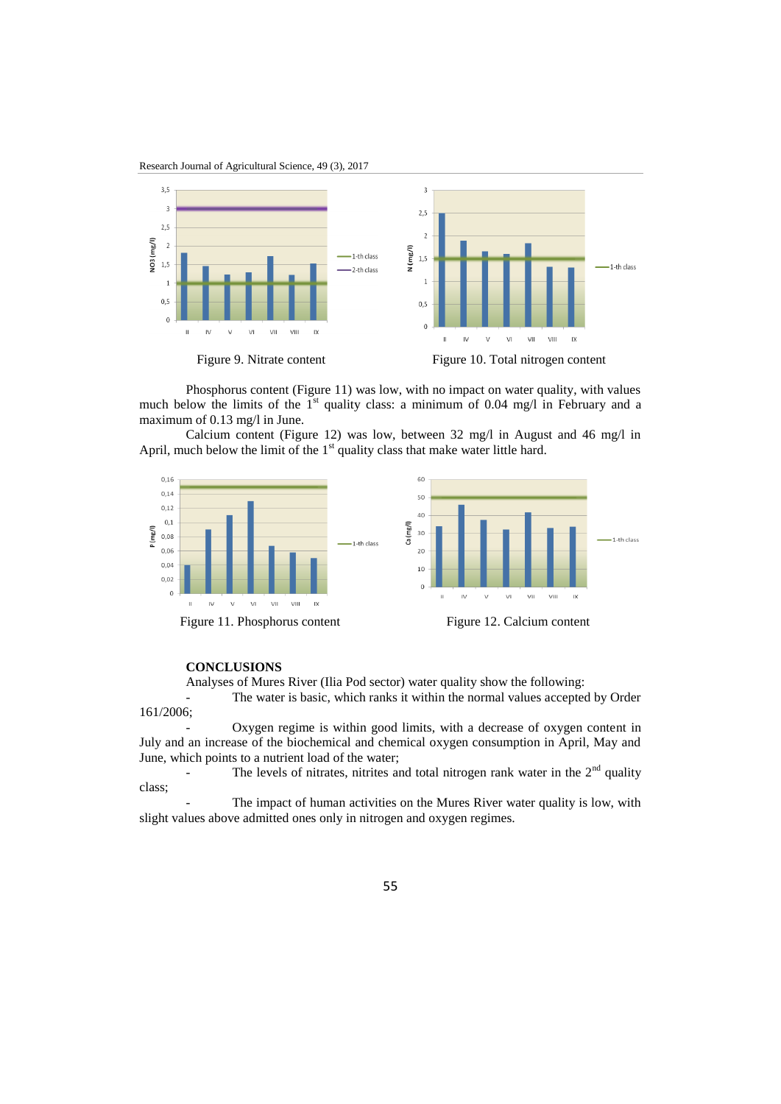Research Journal of Agricultural Science, 49 (3), 2017



Phosphorus content (Figure 11) was low, with no impact on water quality, with values much below the limits of the  $1<sup>st</sup>$  quality class: a minimum of 0.04 mg/l in February and a maximum of 0.13 mg/l in June.

Calcium content (Figure 12) was low, between 32 mg/l in August and 46 mg/l in April, much below the limit of the  $1<sup>st</sup>$  quality class that make water little hard.



# **CONCLUSIONS**

Analyses of Mures River (Ilia Pod sector) water quality show the following:

The water is basic, which ranks it within the normal values accepted by Order 161/2006;

- Oxygen regime is within good limits, with a decrease of oxygen content in July and an increase of the biochemical and chemical oxygen consumption in April, May and June, which points to a nutrient load of the water;

The levels of nitrates, nitrites and total nitrogen rank water in the  $2<sup>nd</sup>$  quality class;

The impact of human activities on the Mures River water quality is low, with slight values above admitted ones only in nitrogen and oxygen regimes.